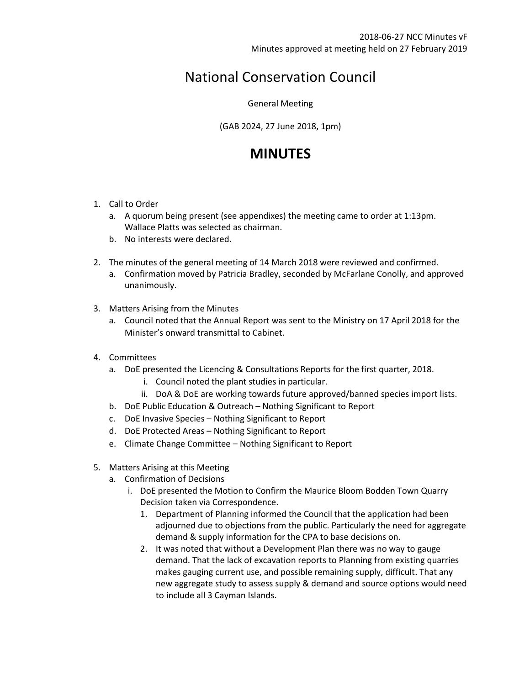## National Conservation Council

General Meeting

(GAB 2024, 27 June 2018, 1pm)

## **MINUTES**

- 1. Call to Order
	- a. A quorum being present (see appendixes) the meeting came to order at 1:13pm. Wallace Platts was selected as chairman.
	- b. No interests were declared.
- 2. The minutes of the general meeting of 14 March 2018 were reviewed and confirmed.
	- a. Confirmation moved by Patricia Bradley, seconded by McFarlane Conolly, and approved unanimously.
- 3. Matters Arising from the Minutes
	- a. Council noted that the Annual Report was sent to the Ministry on 17 April 2018 for the Minister's onward transmittal to Cabinet.
- 4. Committees
	- a. DoE presented the Licencing & Consultations Reports for the first quarter, 2018.
		- i. Council noted the plant studies in particular.
		- ii. DoA & DoE are working towards future approved/banned species import lists.
	- b. DoE Public Education & Outreach Nothing Significant to Report
	- c. DoE Invasive Species Nothing Significant to Report
	- d. DoE Protected Areas Nothing Significant to Report
	- e. Climate Change Committee Nothing Significant to Report
- 5. Matters Arising at this Meeting
	- a. Confirmation of Decisions
		- i. DoE presented the Motion to Confirm the Maurice Bloom Bodden Town Quarry Decision taken via Correspondence.
			- 1. Department of Planning informed the Council that the application had been adjourned due to objections from the public. Particularly the need for aggregate demand & supply information for the CPA to base decisions on.
			- 2. It was noted that without a Development Plan there was no way to gauge demand. That the lack of excavation reports to Planning from existing quarries makes gauging current use, and possible remaining supply, difficult. That any new aggregate study to assess supply & demand and source options would need to include all 3 Cayman Islands.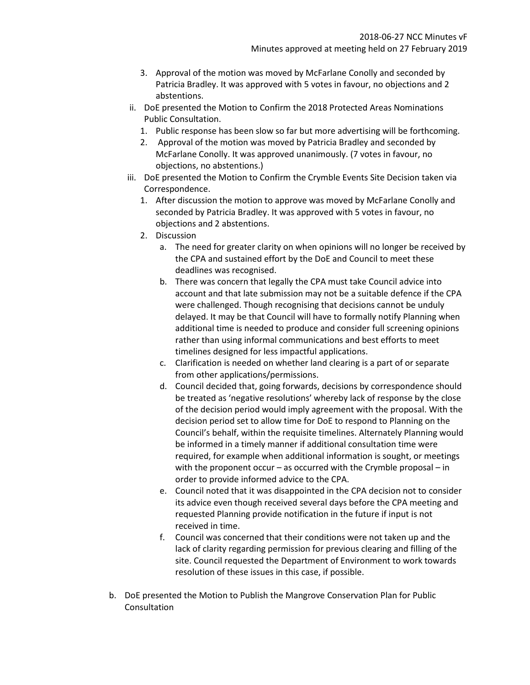- 3. Approval of the motion was moved by McFarlane Conolly and seconded by Patricia Bradley. It was approved with 5 votes in favour, no objections and 2 abstentions.
- ii. DoE presented the Motion to Confirm the 2018 Protected Areas Nominations Public Consultation.
	- 1. Public response has been slow so far but more advertising will be forthcoming.
	- 2. Approval of the motion was moved by Patricia Bradley and seconded by McFarlane Conolly. It was approved unanimously. (7 votes in favour, no objections, no abstentions.)
- iii. DoE presented the Motion to Confirm the Crymble Events Site Decision taken via Correspondence.
	- 1. After discussion the motion to approve was moved by McFarlane Conolly and seconded by Patricia Bradley. It was approved with 5 votes in favour, no objections and 2 abstentions.
	- 2. Discussion
		- a. The need for greater clarity on when opinions will no longer be received by the CPA and sustained effort by the DoE and Council to meet these deadlines was recognised.
		- b. There was concern that legally the CPA must take Council advice into account and that late submission may not be a suitable defence if the CPA were challenged. Though recognising that decisions cannot be unduly delayed. It may be that Council will have to formally notify Planning when additional time is needed to produce and consider full screening opinions rather than using informal communications and best efforts to meet timelines designed for less impactful applications.
		- c. Clarification is needed on whether land clearing is a part of or separate from other applications/permissions.
		- d. Council decided that, going forwards, decisions by correspondence should be treated as 'negative resolutions' whereby lack of response by the close of the decision period would imply agreement with the proposal. With the decision period set to allow time for DoE to respond to Planning on the Council's behalf, within the requisite timelines. Alternately Planning would be informed in a timely manner if additional consultation time were required, for example when additional information is sought, or meetings with the proponent occur – as occurred with the Crymble proposal – in order to provide informed advice to the CPA.
		- e. Council noted that it was disappointed in the CPA decision not to consider its advice even though received several days before the CPA meeting and requested Planning provide notification in the future if input is not received in time.
		- f. Council was concerned that their conditions were not taken up and the lack of clarity regarding permission for previous clearing and filling of the site. Council requested the Department of Environment to work towards resolution of these issues in this case, if possible.
- b. DoE presented the Motion to Publish the Mangrove Conservation Plan for Public Consultation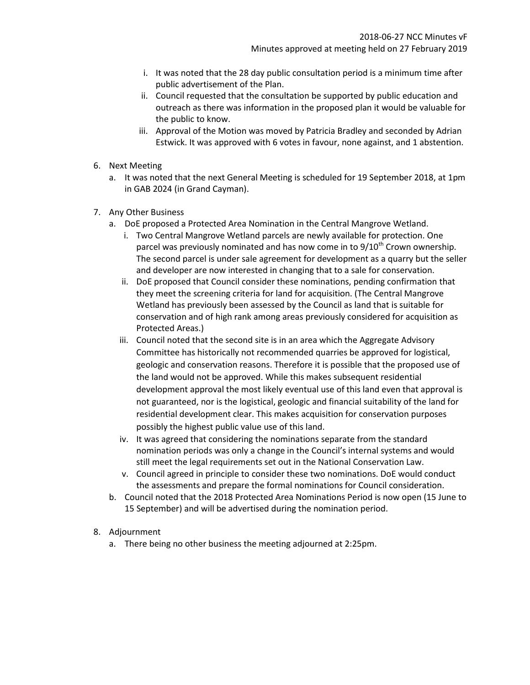- i. It was noted that the 28 day public consultation period is a minimum time after public advertisement of the Plan.
- ii. Council requested that the consultation be supported by public education and outreach as there was information in the proposed plan it would be valuable for the public to know.
- iii. Approval of the Motion was moved by Patricia Bradley and seconded by Adrian Estwick. It was approved with 6 votes in favour, none against, and 1 abstention.
- 6. Next Meeting
	- a. It was noted that the next General Meeting is scheduled for 19 September 2018, at 1pm in GAB 2024 (in Grand Cayman).
- 7. Any Other Business
	- a. DoE proposed a Protected Area Nomination in the Central Mangrove Wetland.
		- i. Two Central Mangrove Wetland parcels are newly available for protection. One parcel was previously nominated and has now come in to  $9/10<sup>th</sup>$  Crown ownership. The second parcel is under sale agreement for development as a quarry but the seller and developer are now interested in changing that to a sale for conservation.
		- ii. DoE proposed that Council consider these nominations, pending confirmation that they meet the screening criteria for land for acquisition. (The Central Mangrove Wetland has previously been assessed by the Council as land that is suitable for conservation and of high rank among areas previously considered for acquisition as Protected Areas.)
		- iii. Council noted that the second site is in an area which the Aggregate Advisory Committee has historically not recommended quarries be approved for logistical, geologic and conservation reasons. Therefore it is possible that the proposed use of the land would not be approved. While this makes subsequent residential development approval the most likely eventual use of this land even that approval is not guaranteed, nor is the logistical, geologic and financial suitability of the land for residential development clear. This makes acquisition for conservation purposes possibly the highest public value use of this land.
		- iv. It was agreed that considering the nominations separate from the standard nomination periods was only a change in the Council's internal systems and would still meet the legal requirements set out in the National Conservation Law.
		- v. Council agreed in principle to consider these two nominations. DoE would conduct the assessments and prepare the formal nominations for Council consideration.
	- b. Council noted that the 2018 Protected Area Nominations Period is now open (15 June to 15 September) and will be advertised during the nomination period.
- 8. Adjournment
	- a. There being no other business the meeting adjourned at 2:25pm.